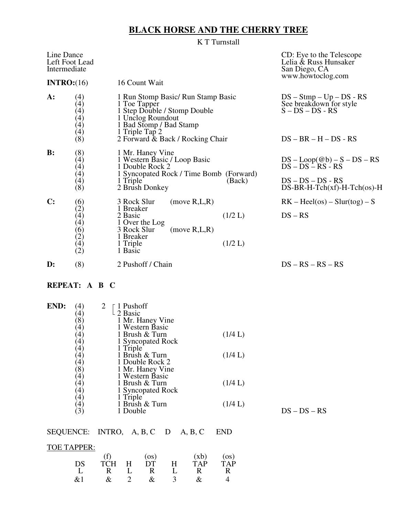# **BLACK HORSE AND THE CHERRY TREE**

K T Turnstall

| Line Dance<br>Left Foot Lead<br>Intermediate                           |                                                                                                                                                      |         | CD: Eye to the Telescope<br>Lelia & Russ Hunsaker<br>San Diego, CA<br>www.howtoclog.com                 |
|------------------------------------------------------------------------|------------------------------------------------------------------------------------------------------------------------------------------------------|---------|---------------------------------------------------------------------------------------------------------|
| INTRO: (16)                                                            | 16 Count Wait                                                                                                                                        |         |                                                                                                         |
| $A$ :<br>$\left( 4\right)$<br>(4)<br>(4)<br>(4)<br>(4)<br>(8)          | 1 Run Stomp Basic/ Run Stamp Basic<br>1 Toe Tapper<br>1 Step Double / Stomp Double<br>1 Unclog Roundout<br>1 Bad Stomp / Bad Stamp<br>1 Triple Tap 2 |         | $DS - \text{Stmp} - \text{Up} - \text{DS} - \text{RS}$<br>See breakdown for style<br>$S - DS - DS - RS$ |
|                                                                        | 2 Forward & Back / Rocking Chair                                                                                                                     |         | $DS - BR - H - DS - RS$                                                                                 |
| $\mathbf{B}$ :<br>(8)<br>$\left( 4\right)$<br>(4)<br>(4)<br>(4)<br>(8) | 1 Mr. Haney Vine<br>1 Western Basic / Loop Basic<br>1 Double Rock 2<br>1 Syncopated Rock / Time Bomb (Forward)<br>1 Triple                           | (Back)  | $DS - Loop(\textcircled{a}b) - S - DS - RS$<br>$DS - DS - RS - RS$<br>$DS - DS - DS - RS$               |
|                                                                        | 2 Brush Donkey                                                                                                                                       |         | $DS-BR-H-Tch(xf)-H-Tch(\infty)-H$                                                                       |
| C:                                                                     | 3 Rock Slur<br>(move R,L,R)                                                                                                                          |         | $RK - Heel(os) - Slur(tog) - S$                                                                         |
| $(6)$<br>(2)<br>(4)<br>(4)<br>(6)<br>(2)<br>(4)<br>(2)                 | 1 Breaker<br>2 Basic<br>1 Over the Log<br>3 Rock Slur<br>(move R,L,R)<br>1 Breaker                                                                   | (1/2 L) | $DS - RS$                                                                                               |
|                                                                        | 1 Triple<br>1 Basic                                                                                                                                  | (1/2 L) |                                                                                                         |
| $\mathbf{D}$ :<br>(8)                                                  | 2 Pushoff / Chain                                                                                                                                    |         | $DS - RS - RS - RS$                                                                                     |
|                                                                        |                                                                                                                                                      |         |                                                                                                         |

## **REPEAT: A B C**

| END: | $\mathcal{A}$<br>$\left( 4\right)$ | <sup>-</sup> 1 Pushoff<br>$\perp$ 2 Basic |         |                |
|------|------------------------------------|-------------------------------------------|---------|----------------|
|      | $\mathcal{S}$                      | 1 Mr. Haney Vine                          |         |                |
|      | $4^\circ$                          | 1 Western Basic                           |         |                |
|      | $\overline{4}$                     | 1 Brush & Turn                            | (1/4 L) |                |
|      | $\overline{4}$                     | 1 Syncopated Rock                         |         |                |
|      | $\overline{4}$                     | 1 Triple                                  |         |                |
|      | $\overline{4}$                     | 1 Brush & Turn                            | (1/4 L) |                |
|      | $\overline{4}$                     | 1 Double Rock 2                           |         |                |
|      | [8]                                | 1 Mr. Haney Vine                          |         |                |
|      | $\overline{4}$                     | 1 Western Basic                           |         |                |
|      | $\overline{4}$                     | 1 Brush & Turn                            | (1/4 L) |                |
|      | $\overline{4}$                     | 1 Syncopated Rock                         |         |                |
|      | $\left(4\right)$                   | 1 Triple                                  |         |                |
|      | $\left( 4\right)$                  | 1 Brush & Turn                            | (1/4 L) |                |
|      | $3^{\circ}$                        | 1 Double                                  |         | $DS - DS - RS$ |

## SEQUENCE: INTRO, A, B, C D A, B, C END

# TOE TAPPER:

|      |              | (OS)            |               | (xb)         | $($ os)<br>TAP |
|------|--------------|-----------------|---------------|--------------|----------------|
| ĎĆ   | <b>TCH</b>   | H DT            | H             | TAP          |                |
|      | $\mathbb{R}$ | $L \t R$        |               | $\mathbb{R}$ | R.             |
| R7 1 |              | $\mathcal{X}^-$ | $\mathcal{R}$ |              |                |